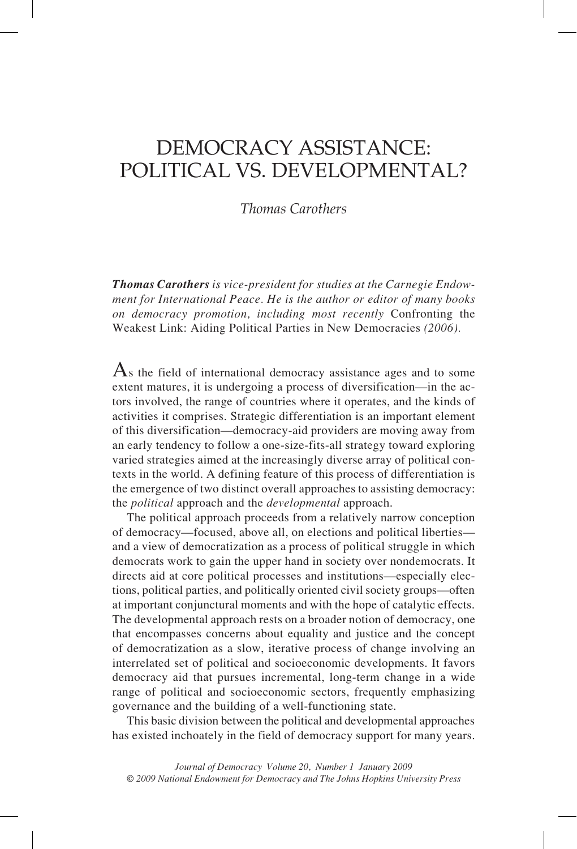# democracy assistance: political vs. developmental?

*Thomas Carothers*

*Thomas Carothers is vice-president for studies at the Carnegie Endowment for International Peace. He is the author or editor of many books on democracy promotion, including most recently* Confronting the Weakest Link: Aiding Political Parties in New Democracies *(2006).* 

As the field of international democracy assistance ages and to some extent matures, it is undergoing a process of diversification—in the actors involved, the range of countries where it operates, and the kinds of activities it comprises. Strategic differentiation is an important element of this diversification—democracy-aid providers are moving away from an early tendency to follow a one-size-fits-all strategy toward exploring varied strategies aimed at the increasingly diverse array of political contexts in the world. A defining feature of this process of differentiation is the emergence of two distinct overall approaches to assisting democracy: the *political* approach and the *developmental* approach.

The political approach proceeds from a relatively narrow conception of democracy—focused, above all, on elections and political liberties and a view of democratization as a process of political struggle in which democrats work to gain the upper hand in society over nondemocrats. It directs aid at core political processes and institutions—especially elections, political parties, and politically oriented civil society groups—often at important conjunctural moments and with the hope of catalytic effects. The developmental approach rests on a broader notion of democracy, one that encompasses concerns about equality and justice and the concept of democratization as a slow, iterative process of change involving an interrelated set of political and socioeconomic developments. It favors democracy aid that pursues incremental, long-term change in a wide range of political and socioeconomic sectors, frequently emphasizing governance and the building of a well-functioning state.

This basic division between the political and developmental approaches has existed inchoately in the field of democracy support for many years.

*Journal of Democracy Volume 20, Number 1 January 2009 © 2009 National Endowment for Democracy and The Johns Hopkins University Press*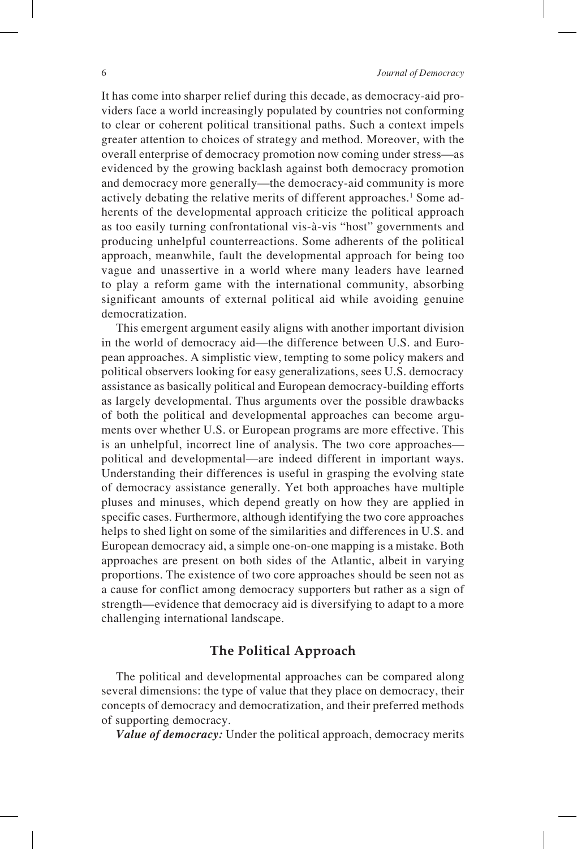It has come into sharper relief during this decade, as democracy-aid providers face a world increasingly populated by countries not conforming to clear or coherent political transitional paths. Such a context impels greater attention to choices of strategy and method. Moreover, with the overall enterprise of democracy promotion now coming under stress—as evidenced by the growing backlash against both democracy promotion and democracy more generally—the democracy-aid community is more actively debating the relative merits of different approaches.<sup>1</sup> Some adherents of the developmental approach criticize the political approach as too easily turning confrontational vis-à-vis "host" governments and producing unhelpful counterreactions. Some adherents of the political approach, meanwhile, fault the developmental approach for being too vague and unassertive in a world where many leaders have learned to play a reform game with the international community, absorbing significant amounts of external political aid while avoiding genuine democratization.

This emergent argument easily aligns with another important division in the world of democracy aid—the difference between U.S. and European approaches. A simplistic view, tempting to some policy makers and political observers looking for easy generalizations, sees U.S. democracy assistance as basically political and European democracy-building efforts as largely developmental. Thus arguments over the possible drawbacks of both the political and developmental approaches can become arguments over whether U.S. or European programs are more effective. This is an unhelpful, incorrect line of analysis. The two core approaches political and developmental—are indeed different in important ways. Understanding their differences is useful in grasping the evolving state of democracy assistance generally. Yet both approaches have multiple pluses and minuses, which depend greatly on how they are applied in specific cases. Furthermore, although identifying the two core approaches helps to shed light on some of the similarities and differences in U.S. and European democracy aid, a simple one-on-one mapping is a mistake. Both approaches are present on both sides of the Atlantic, albeit in varying proportions. The existence of two core approaches should be seen not as a cause for conflict among democracy supporters but rather as a sign of strength—evidence that democracy aid is diversifying to adapt to a more challenging international landscape.

# **The Political Approach**

The political and developmental approaches can be compared along several dimensions: the type of value that they place on democracy, their concepts of democracy and democratization, and their preferred methods of supporting democracy.

*Value of democracy:* Under the political approach, democracy merits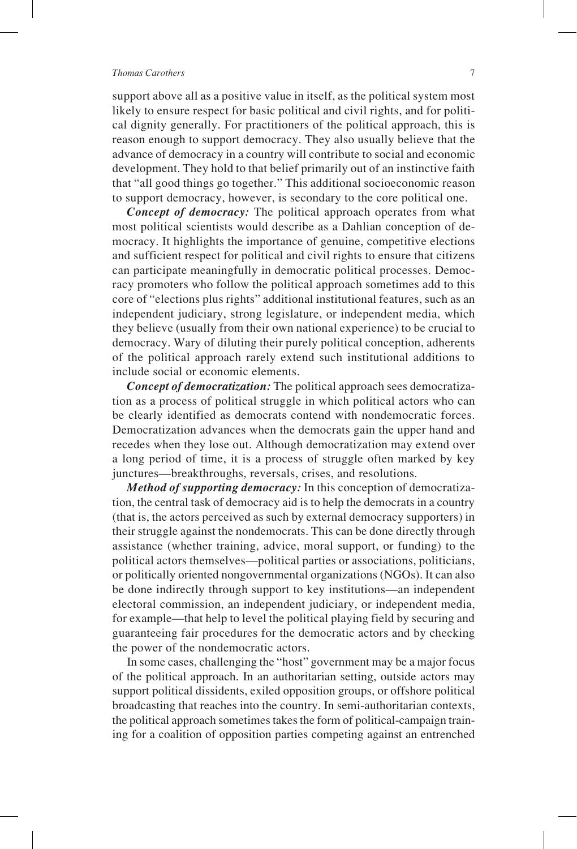support above all as a positive value in itself, as the political system most likely to ensure respect for basic political and civil rights, and for political dignity generally. For practitioners of the political approach, this is reason enough to support democracy. They also usually believe that the advance of democracy in a country will contribute to social and economic development. They hold to that belief primarily out of an instinctive faith that "all good things go together." This additional socioeconomic reason to support democracy, however, is secondary to the core political one.

*Concept of democracy:* The political approach operates from what most political scientists would describe as a Dahlian conception of democracy. It highlights the importance of genuine, competitive elections and sufficient respect for political and civil rights to ensure that citizens can participate meaningfully in democratic political processes. Democracy promoters who follow the political approach sometimes add to this core of "elections plus rights" additional institutional features, such as an independent judiciary, strong legislature, or independent media, which they believe (usually from their own national experience) to be crucial to democracy. Wary of diluting their purely political conception, adherents of the political approach rarely extend such institutional additions to include social or economic elements.

*Concept of democratization:* The political approach sees democratization as a process of political struggle in which political actors who can be clearly identified as democrats contend with nondemocratic forces. Democratization advances when the democrats gain the upper hand and recedes when they lose out. Although democratization may extend over a long period of time, it is a process of struggle often marked by key junctures—breakthroughs, reversals, crises, and resolutions.

*Method of supporting democracy:* In this conception of democratization, the central task of democracy aid is to help the democrats in a country (that is, the actors perceived as such by external democracy supporters) in their struggle against the nondemocrats. This can be done directly through assistance (whether training, advice, moral support, or funding) to the political actors themselves—political parties or associations, politicians, or politically oriented nongovernmental organizations (NGOs). It can also be done indirectly through support to key institutions—an independent electoral commission, an independent judiciary, or independent media, for example—that help to level the political playing field by securing and guaranteeing fair procedures for the democratic actors and by checking the power of the nondemocratic actors.

In some cases, challenging the "host" government may be a major focus of the political approach. In an authoritarian setting, outside actors may support political dissidents, exiled opposition groups, or offshore political broadcasting that reaches into the country. In semi-authoritarian contexts, the political approach sometimes takes the form of political-campaign training for a coalition of opposition parties competing against an entrenched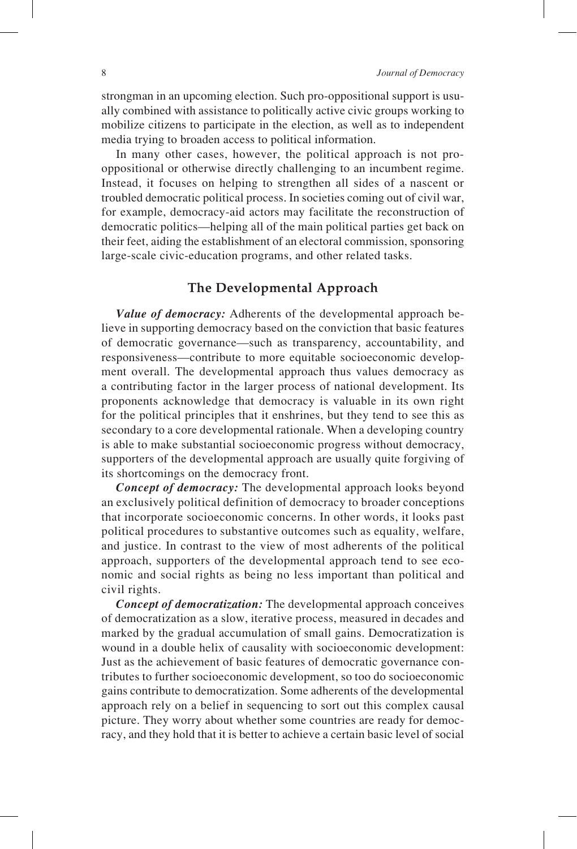strongman in an upcoming election. Such pro-oppositional support is usually combined with assistance to politically active civic groups working to mobilize citizens to participate in the election, as well as to independent media trying to broaden access to political information.

In many other cases, however, the political approach is not prooppositional or otherwise directly challenging to an incumbent regime. Instead, it focuses on helping to strengthen all sides of a nascent or troubled democratic political process. In societies coming out of civil war, for example, democracy-aid actors may facilitate the reconstruction of democratic politics—helping all of the main political parties get back on their feet, aiding the establishment of an electoral commission, sponsoring large-scale civic-education programs, and other related tasks.

## **The Developmental Approach**

*Value of democracy:* Adherents of the developmental approach believe in supporting democracy based on the conviction that basic features of democratic governance—such as transparency, accountability, and responsiveness—contribute to more equitable socioeconomic development overall. The developmental approach thus values democracy as a contributing factor in the larger process of national development. Its proponents acknowledge that democracy is valuable in its own right for the political principles that it enshrines, but they tend to see this as secondary to a core developmental rationale. When a developing country is able to make substantial socioeconomic progress without democracy, supporters of the developmental approach are usually quite forgiving of its shortcomings on the democracy front.

*Concept of democracy:* The developmental approach looks beyond an exclusively political definition of democracy to broader conceptions that incorporate socioeconomic concerns. In other words, it looks past political procedures to substantive outcomes such as equality, welfare, and justice. In contrast to the view of most adherents of the political approach, supporters of the developmental approach tend to see economic and social rights as being no less important than political and civil rights.

*Concept of democratization:* The developmental approach conceives of democratization as a slow, iterative process, measured in decades and marked by the gradual accumulation of small gains. Democratization is wound in a double helix of causality with socioeconomic development: Just as the achievement of basic features of democratic governance contributes to further socioeconomic development, so too do socioeconomic gains contribute to democratization. Some adherents of the developmental approach rely on a belief in sequencing to sort out this complex causal picture. They worry about whether some countries are ready for democracy, and they hold that it is better to achieve a certain basic level of social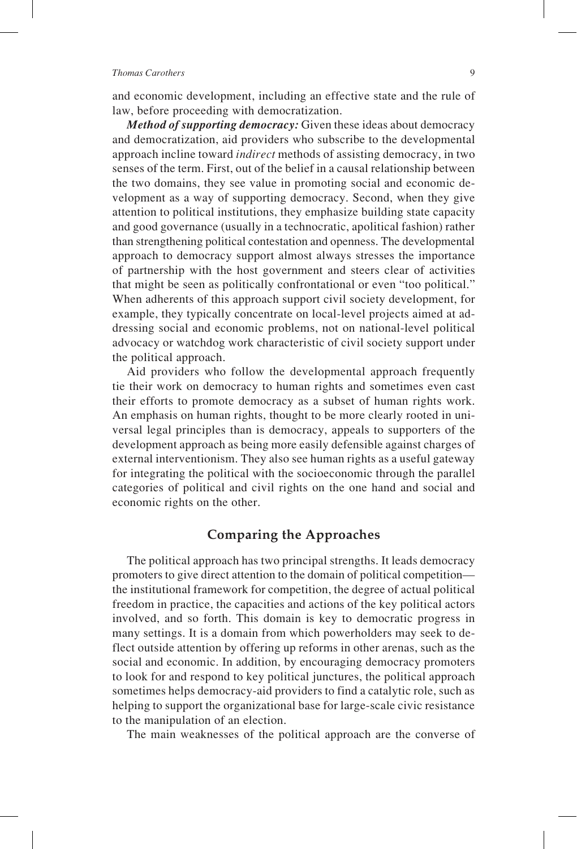and economic development, including an effective state and the rule of law, before proceeding with democratization.

*Method of supporting democracy:* Given these ideas about democracy and democratization, aid providers who subscribe to the developmental approach incline toward *indirect* methods of assisting democracy, in two senses of the term. First, out of the belief in a causal relationship between the two domains, they see value in promoting social and economic development as a way of supporting democracy. Second, when they give attention to political institutions, they emphasize building state capacity and good governance (usually in a technocratic, apolitical fashion) rather than strengthening political contestation and openness. The developmental approach to democracy support almost always stresses the importance of partnership with the host government and steers clear of activities that might be seen as politically confrontational or even "too political." When adherents of this approach support civil society development, for example, they typically concentrate on local-level projects aimed at addressing social and economic problems, not on national-level political advocacy or watchdog work characteristic of civil society support under the political approach.

Aid providers who follow the developmental approach frequently tie their work on democracy to human rights and sometimes even cast their efforts to promote democracy as a subset of human rights work. An emphasis on human rights, thought to be more clearly rooted in universal legal principles than is democracy, appeals to supporters of the development approach as being more easily defensible against charges of external interventionism. They also see human rights as a useful gateway for integrating the political with the socioeconomic through the parallel categories of political and civil rights on the one hand and social and economic rights on the other.

# **Comparing the Approaches**

The political approach has two principal strengths. It leads democracy promoters to give direct attention to the domain of political competition the institutional framework for competition, the degree of actual political freedom in practice, the capacities and actions of the key political actors involved, and so forth. This domain is key to democratic progress in many settings. It is a domain from which powerholders may seek to deflect outside attention by offering up reforms in other arenas, such as the social and economic. In addition, by encouraging democracy promoters to look for and respond to key political junctures, the political approach sometimes helps democracy-aid providers to find a catalytic role, such as helping to support the organizational base for large-scale civic resistance to the manipulation of an election.

The main weaknesses of the political approach are the converse of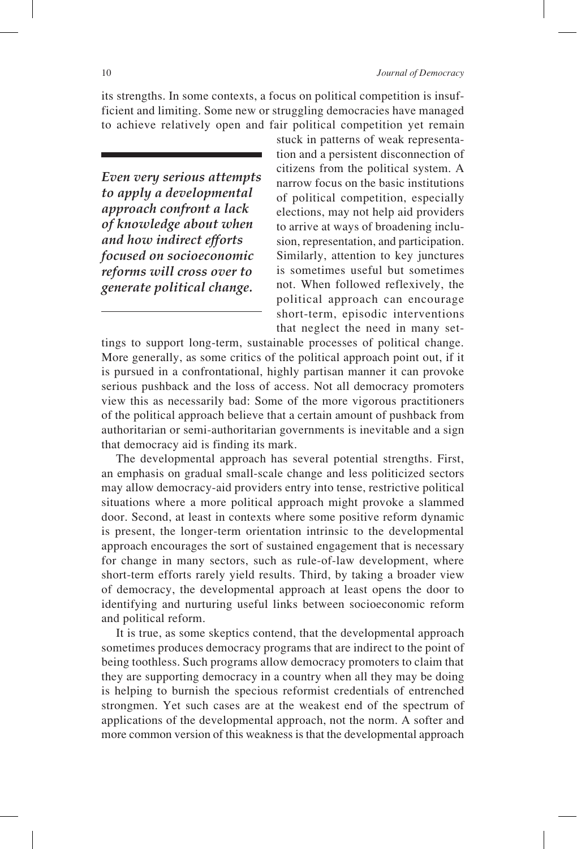its strengths. In some contexts, a focus on political competition is insufficient and limiting. Some new or struggling democracies have managed to achieve relatively open and fair political competition yet remain

*Even very serious attempts to apply a developmental approach confront a lack of knowledge about when and how indirect efforts focused on socioeconomic reforms will cross over to generate political change.*

stuck in patterns of weak representation and a persistent disconnection of citizens from the political system. A narrow focus on the basic institutions of political competition, especially elections, may not help aid providers to arrive at ways of broadening inclusion, representation, and participation. Similarly, attention to key junctures is sometimes useful but sometimes not. When followed reflexively, the political approach can encourage short-term, episodic interventions that neglect the need in many set-

tings to support long-term, sustainable processes of political change. More generally, as some critics of the political approach point out, if it is pursued in a confrontational, highly partisan manner it can provoke serious pushback and the loss of access. Not all democracy promoters view this as necessarily bad: Some of the more vigorous practitioners of the political approach believe that a certain amount of pushback from authoritarian or semi-authoritarian governments is inevitable and a sign that democracy aid is finding its mark.

The developmental approach has several potential strengths. First, an emphasis on gradual small-scale change and less politicized sectors may allow democracy-aid providers entry into tense, restrictive political situations where a more political approach might provoke a slammed door. Second, at least in contexts where some positive reform dynamic is present, the longer-term orientation intrinsic to the developmental approach encourages the sort of sustained engagement that is necessary for change in many sectors, such as rule-of-law development, where short-term efforts rarely yield results. Third, by taking a broader view of democracy, the developmental approach at least opens the door to identifying and nurturing useful links between socioeconomic reform and political reform.

It is true, as some skeptics contend, that the developmental approach sometimes produces democracy programs that are indirect to the point of being toothless. Such programs allow democracy promoters to claim that they are supporting democracy in a country when all they may be doing is helping to burnish the specious reformist credentials of entrenched strongmen. Yet such cases are at the weakest end of the spectrum of applications of the developmental approach, not the norm. A softer and more common version of this weakness is that the developmental approach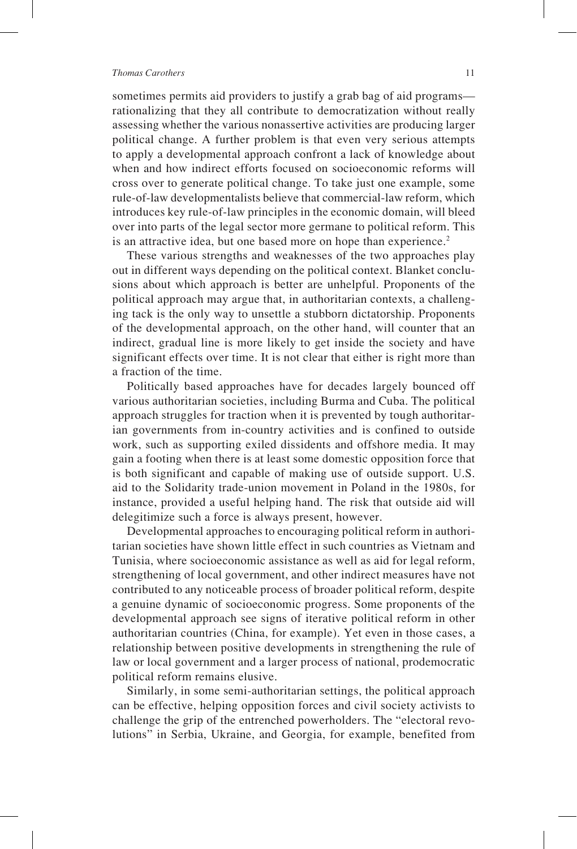sometimes permits aid providers to justify a grab bag of aid programs rationalizing that they all contribute to democratization without really assessing whether the various nonassertive activities are producing larger political change. A further problem is that even very serious attempts to apply a developmental approach confront a lack of knowledge about when and how indirect efforts focused on socioeconomic reforms will cross over to generate political change. To take just one example, some rule-of-law developmentalists believe that commercial-law reform, which introduces key rule-of-law principles in the economic domain, will bleed over into parts of the legal sector more germane to political reform. This is an attractive idea, but one based more on hope than experience.<sup>2</sup>

These various strengths and weaknesses of the two approaches play out in different ways depending on the political context. Blanket conclusions about which approach is better are unhelpful. Proponents of the political approach may argue that, in authoritarian contexts, a challenging tack is the only way to unsettle a stubborn dictatorship. Proponents of the developmental approach, on the other hand, will counter that an indirect, gradual line is more likely to get inside the society and have significant effects over time. It is not clear that either is right more than a fraction of the time.

Politically based approaches have for decades largely bounced off various authoritarian societies, including Burma and Cuba. The political approach struggles for traction when it is prevented by tough authoritarian governments from in-country activities and is confined to outside work, such as supporting exiled dissidents and offshore media. It may gain a footing when there is at least some domestic opposition force that is both significant and capable of making use of outside support. U.S. aid to the Solidarity trade-union movement in Poland in the 1980s, for instance, provided a useful helping hand. The risk that outside aid will delegitimize such a force is always present, however.

Developmental approaches to encouraging political reform in authoritarian societies have shown little effect in such countries as Vietnam and Tunisia, where socioeconomic assistance as well as aid for legal reform, strengthening of local government, and other indirect measures have not contributed to any noticeable process of broader political reform, despite a genuine dynamic of socioeconomic progress. Some proponents of the developmental approach see signs of iterative political reform in other authoritarian countries (China, for example). Yet even in those cases, a relationship between positive developments in strengthening the rule of law or local government and a larger process of national, prodemocratic political reform remains elusive.

Similarly, in some semi-authoritarian settings, the political approach can be effective, helping opposition forces and civil society activists to challenge the grip of the entrenched powerholders. The "electoral revolutions" in Serbia, Ukraine, and Georgia, for example, benefited from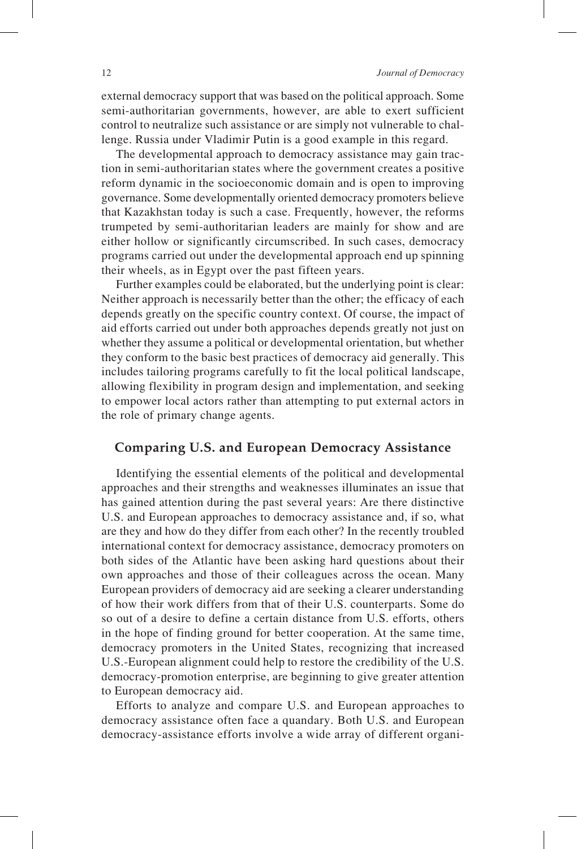external democracy support that was based on the political approach. Some semi-authoritarian governments, however, are able to exert sufficient control to neutralize such assistance or are simply not vulnerable to challenge. Russia under Vladimir Putin is a good example in this regard.

The developmental approach to democracy assistance may gain traction in semi-authoritarian states where the government creates a positive reform dynamic in the socioeconomic domain and is open to improving governance. Some developmentally oriented democracy promoters believe that Kazakhstan today is such a case. Frequently, however, the reforms trumpeted by semi-authoritarian leaders are mainly for show and are either hollow or significantly circumscribed. In such cases, democracy programs carried out under the developmental approach end up spinning their wheels, as in Egypt over the past fifteen years.

Further examples could be elaborated, but the underlying point is clear: Neither approach is necessarily better than the other; the efficacy of each depends greatly on the specific country context. Of course, the impact of aid efforts carried out under both approaches depends greatly not just on whether they assume a political or developmental orientation, but whether they conform to the basic best practices of democracy aid generally. This includes tailoring programs carefully to fit the local political landscape, allowing flexibility in program design and implementation, and seeking to empower local actors rather than attempting to put external actors in the role of primary change agents.

# **Comparing U.S. and European Democracy Assistance**

Identifying the essential elements of the political and developmental approaches and their strengths and weaknesses illuminates an issue that has gained attention during the past several years: Are there distinctive U.S. and European approaches to democracy assistance and, if so, what are they and how do they differ from each other? In the recently troubled international context for democracy assistance, democracy promoters on both sides of the Atlantic have been asking hard questions about their own approaches and those of their colleagues across the ocean. Many European providers of democracy aid are seeking a clearer understanding of how their work differs from that of their U.S. counterparts. Some do so out of a desire to define a certain distance from U.S. efforts, others in the hope of finding ground for better cooperation. At the same time, democracy promoters in the United States, recognizing that increased U.S.-European alignment could help to restore the credibility of the U.S. democracy-promotion enterprise, are beginning to give greater attention to European democracy aid.

Efforts to analyze and compare U.S. and European approaches to democracy assistance often face a quandary. Both U.S. and European democracy-assistance efforts involve a wide array of different organi-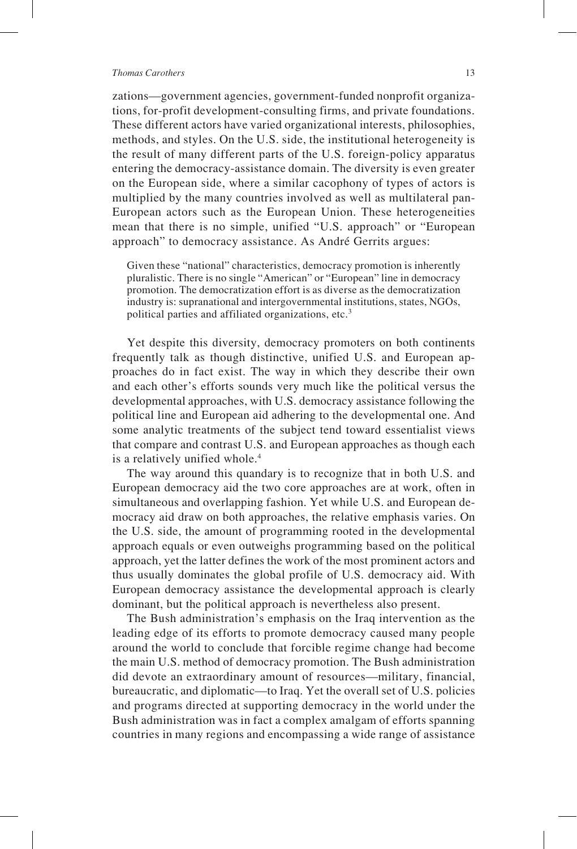zations—government agencies, government-funded nonprofit organizations, for-profit development-consulting firms, and private foundations. These different actors have varied organizational interests, philosophies, methods, and styles. On the U.S. side, the institutional heterogeneity is the result of many different parts of the U.S. foreign-policy apparatus entering the democracy-assistance domain. The diversity is even greater on the European side, where a similar cacophony of types of actors is multiplied by the many countries involved as well as multilateral pan-European actors such as the European Union. These heterogeneities mean that there is no simple, unified "U.S. approach" or "European approach" to democracy assistance. As André Gerrits argues:

Given these "national" characteristics, democracy promotion is inherently pluralistic. There is no single "American" or "European" line in democracy promotion. The democratization effort is as diverse as the democratization industry is: supranational and intergovernmental institutions, states, NGOs, political parties and affiliated organizations, etc.3

Yet despite this diversity, democracy promoters on both continents frequently talk as though distinctive, unified U.S. and European approaches do in fact exist. The way in which they describe their own and each other's efforts sounds very much like the political versus the developmental approaches, with U.S. democracy assistance following the political line and European aid adhering to the developmental one. And some analytic treatments of the subject tend toward essentialist views that compare and contrast U.S. and European approaches as though each is a relatively unified whole.<sup>4</sup>

The way around this quandary is to recognize that in both U.S. and European democracy aid the two core approaches are at work, often in simultaneous and overlapping fashion. Yet while U.S. and European democracy aid draw on both approaches, the relative emphasis varies. On the U.S. side, the amount of programming rooted in the developmental approach equals or even outweighs programming based on the political approach, yet the latter defines the work of the most prominent actors and thus usually dominates the global profile of U.S. democracy aid. With European democracy assistance the developmental approach is clearly dominant, but the political approach is nevertheless also present.

The Bush administration's emphasis on the Iraq intervention as the leading edge of its efforts to promote democracy caused many people around the world to conclude that forcible regime change had become the main U.S. method of democracy promotion. The Bush administration did devote an extraordinary amount of resources—military, financial, bureaucratic, and diplomatic—to Iraq. Yet the overall set of U.S. policies and programs directed at supporting democracy in the world under the Bush administration was in fact a complex amalgam of efforts spanning countries in many regions and encompassing a wide range of assistance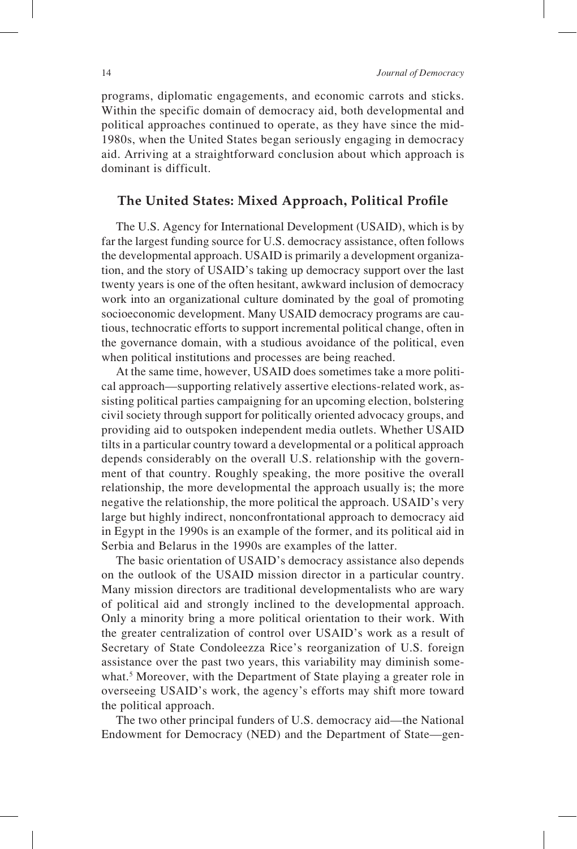programs, diplomatic engagements, and economic carrots and sticks. Within the specific domain of democracy aid, both developmental and political approaches continued to operate, as they have since the mid-1980s, when the United States began seriously engaging in democracy aid. Arriving at a straightforward conclusion about which approach is dominant is difficult.

## **The United States: Mixed Approach, Political Profile**

The U.S. Agency for International Development (USAID), which is by far the largest funding source for U.S. democracy assistance, often follows the developmental approach. USAID is primarily a development organization, and the story of USAID's taking up democracy support over the last twenty years is one of the often hesitant, awkward inclusion of democracy work into an organizational culture dominated by the goal of promoting socioeconomic development. Many USAID democracy programs are cautious, technocratic efforts to support incremental political change, often in the governance domain, with a studious avoidance of the political, even when political institutions and processes are being reached.

At the same time, however, USAID does sometimes take a more political approach—supporting relatively assertive elections-related work, assisting political parties campaigning for an upcoming election, bolstering civil society through support for politically oriented advocacy groups, and providing aid to outspoken independent media outlets. Whether USAID tilts in a particular country toward a developmental or a political approach depends considerably on the overall U.S. relationship with the government of that country. Roughly speaking, the more positive the overall relationship, the more developmental the approach usually is; the more negative the relationship, the more political the approach. USAID's very large but highly indirect, nonconfrontational approach to democracy aid in Egypt in the 1990s is an example of the former, and its political aid in Serbia and Belarus in the 1990s are examples of the latter.

The basic orientation of USAID's democracy assistance also depends on the outlook of the USAID mission director in a particular country. Many mission directors are traditional developmentalists who are wary of political aid and strongly inclined to the developmental approach. Only a minority bring a more political orientation to their work. With the greater centralization of control over USAID's work as a result of Secretary of State Condoleezza Rice's reorganization of U.S. foreign assistance over the past two years, this variability may diminish somewhat.<sup>5</sup> Moreover, with the Department of State playing a greater role in overseeing USAID's work, the agency's efforts may shift more toward the political approach.

The two other principal funders of U.S. democracy aid—the National Endowment for Democracy (NED) and the Department of State—gen-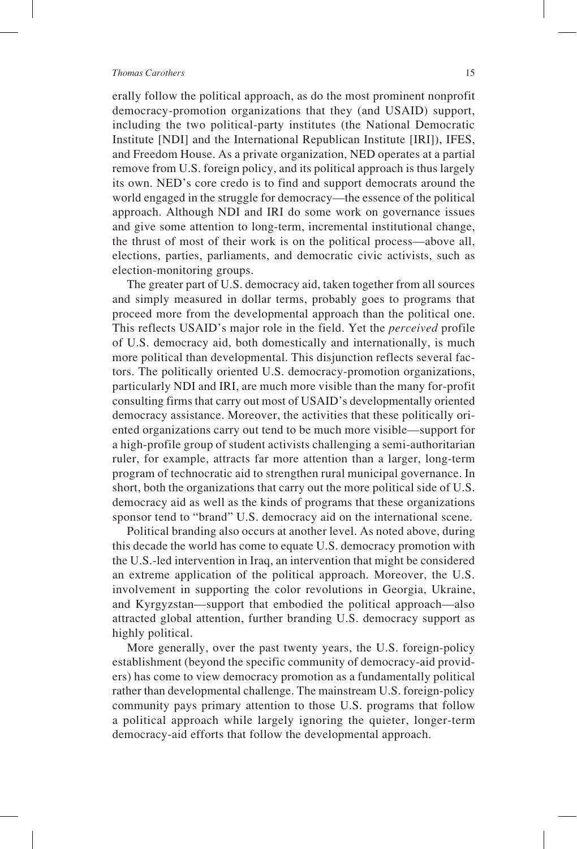erally follow the political approach, as do the most prominent nonprofit democracy-promotion organizations that they (and USAID) support, including the two political-party institutes (the National Democratic Institute [NDI] and the International Republican Institute [IRI]), IFES, and Freedom House. As a private organization, NED operates at a partial remove from U.S. foreign policy, and its political approach is thus largely its own. NED's core credo is to find and support democrats around the world engaged in the struggle for democracy—the essence of the political approach. Although NDI and IRI do some work on governance issues and give some attention to long-term, incremental institutional change, the thrust of most of their work is on the political process—above all, elections, parties, parliaments, and democratic civic activists, such as election-monitoring groups.

The greater part of U.S. democracy aid, taken together from all sources and simply measured in dollar terms, probably goes to programs that proceed more from the developmental approach than the political one. This reflects USAID's major role in the field. Yet the *perceived* profile of U.S. democracy aid, both domestically and internationally, is much more political than developmental. This disjunction reflects several factors. The politically oriented U.S. democracy-promotion organizations, particularly NDI and IRI, are much more visible than the many for-profit consulting firms that carry out most of USAID's developmentally oriented democracy assistance. Moreover, the activities that these politically oriented organizations carry out tend to be much more visible—support for a high-profile group of student activists challenging a semi-authoritarian ruler, for example, attracts far more attention than a larger, long-term program of technocratic aid to strengthen rural municipal governance. In short, both the organizations that carry out the more political side of U.S. democracy aid as well as the kinds of programs that these organizations sponsor tend to "brand" U.S. democracy aid on the international scene.

Political branding also occurs at another level. As noted above, during this decade the world has come to equate U.S. democracy promotion with the U.S.-led intervention in Iraq, an intervention that might be considered an extreme application of the political approach. Moreover, the U.S. involvement in supporting the color revolutions in Georgia, Ukraine, and Kyrgyzstan—support that embodied the political approach—also attracted global attention, further branding U.S. democracy support as highly political.

More generally, over the past twenty years, the U.S. foreign-policy establishment (beyond the specific community of democracy-aid providers) has come to view democracy promotion as a fundamentally political rather than developmental challenge. The mainstream U.S. foreign-policy community pays primary attention to those U.S. programs that follow a political approach while largely ignoring the quieter, longer-term democracy-aid efforts that follow the developmental approach.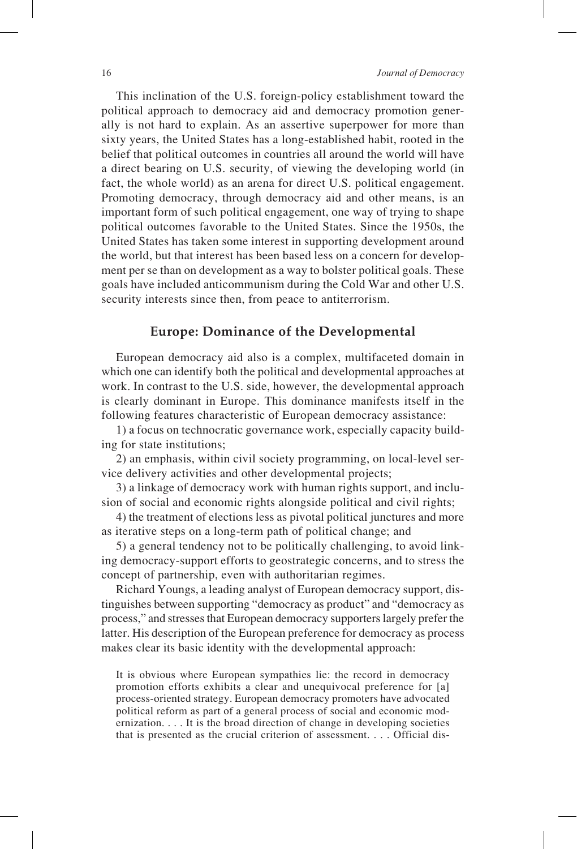This inclination of the U.S. foreign-policy establishment toward the political approach to democracy aid and democracy promotion generally is not hard to explain. As an assertive superpower for more than sixty years, the United States has a long-established habit, rooted in the belief that political outcomes in countries all around the world will have a direct bearing on U.S. security, of viewing the developing world (in fact, the whole world) as an arena for direct U.S. political engagement. Promoting democracy, through democracy aid and other means, is an important form of such political engagement, one way of trying to shape political outcomes favorable to the United States. Since the 1950s, the United States has taken some interest in supporting development around the world, but that interest has been based less on a concern for development per se than on development as a way to bolster political goals. These goals have included anticommunism during the Cold War and other U.S. security interests since then, from peace to antiterrorism.

# **Europe: Dominance of the Developmental**

European democracy aid also is a complex, multifaceted domain in which one can identify both the political and developmental approaches at work. In contrast to the U.S. side, however, the developmental approach is clearly dominant in Europe. This dominance manifests itself in the following features characteristic of European democracy assistance:

1) a focus on technocratic governance work, especially capacity building for state institutions;

2) an emphasis, within civil society programming, on local-level service delivery activities and other developmental projects;

3) a linkage of democracy work with human rights support, and inclusion of social and economic rights alongside political and civil rights;

4) the treatment of elections less as pivotal political junctures and more as iterative steps on a long-term path of political change; and

5) a general tendency not to be politically challenging, to avoid linking democracy-support efforts to geostrategic concerns, and to stress the concept of partnership, even with authoritarian regimes.

Richard Youngs, a leading analyst of European democracy support, distinguishes between supporting "democracy as product" and "democracy as process," and stresses that European democracy supporters largely prefer the latter. His description of the European preference for democracy as process makes clear its basic identity with the developmental approach:

It is obvious where European sympathies lie: the record in democracy promotion efforts exhibits a clear and unequivocal preference for [a] process-oriented strategy. European democracy promoters have advocated political reform as part of a general process of social and economic modernization. . . . It is the broad direction of change in developing societies that is presented as the crucial criterion of assessment. . . . Official dis-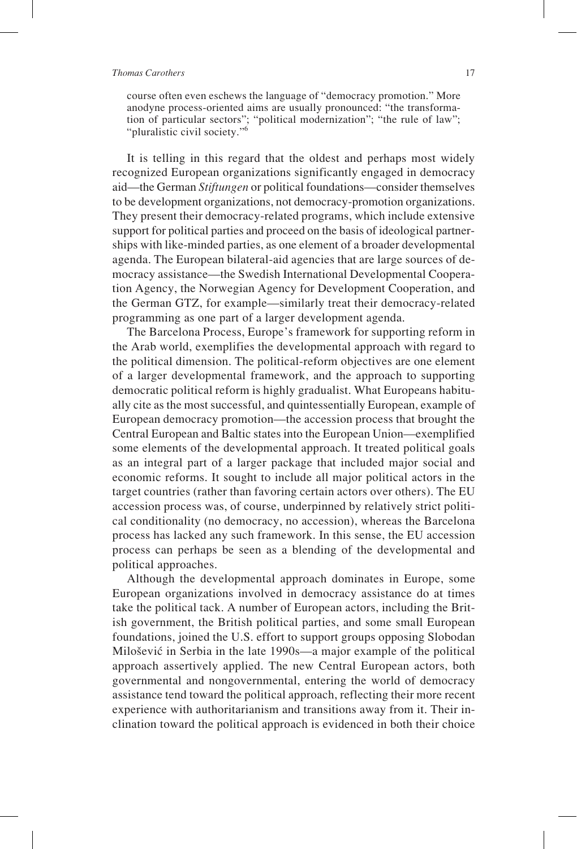course often even eschews the language of "democracy promotion." More anodyne process-oriented aims are usually pronounced: "the transformation of particular sectors"; "political modernization"; "the rule of law"; "pluralistic civil society."6

It is telling in this regard that the oldest and perhaps most widely recognized European organizations significantly engaged in democracy aid—the German *Stiftungen* or political foundations—consider themselves to be development organizations, not democracy-promotion organizations. They present their democracy-related programs, which include extensive support for political parties and proceed on the basis of ideological partnerships with like-minded parties, as one element of a broader developmental agenda. The European bilateral-aid agencies that are large sources of democracy assistance—the Swedish International Developmental Cooperation Agency, the Norwegian Agency for Development Cooperation, and the German GTZ, for example—similarly treat their democracy-related programming as one part of a larger development agenda.

The Barcelona Process, Europe's framework for supporting reform in the Arab world, exemplifies the developmental approach with regard to the political dimension. The political-reform objectives are one element of a larger developmental framework, and the approach to supporting democratic political reform is highly gradualist. What Europeans habitually cite as the most successful, and quintessentially European, example of European democracy promotion—the accession process that brought the Central European and Baltic states into the European Union—exemplified some elements of the developmental approach. It treated political goals as an integral part of a larger package that included major social and economic reforms. It sought to include all major political actors in the target countries (rather than favoring certain actors over others). The EU accession process was, of course, underpinned by relatively strict political conditionality (no democracy, no accession), whereas the Barcelona process has lacked any such framework. In this sense, the EU accession process can perhaps be seen as a blending of the developmental and political approaches.

Although the developmental approach dominates in Europe, some European organizations involved in democracy assistance do at times take the political tack. A number of European actors, including the British government, the British political parties, and some small European foundations, joined the U.S. effort to support groups opposing Slobodan Milošević in Serbia in the late 1990s—a major example of the political approach assertively applied. The new Central European actors, both governmental and nongovernmental, entering the world of democracy assistance tend toward the political approach, reflecting their more recent experience with authoritarianism and transitions away from it. Their inclination toward the political approach is evidenced in both their choice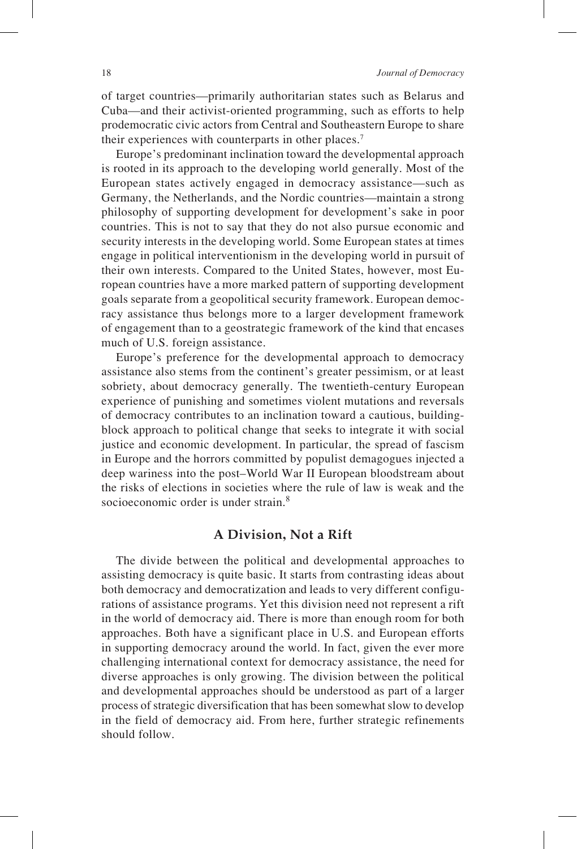of target countries—primarily authoritarian states such as Belarus and Cuba—and their activist-oriented programming, such as efforts to help prodemocratic civic actors from Central and Southeastern Europe to share their experiences with counterparts in other places.7

Europe's predominant inclination toward the developmental approach is rooted in its approach to the developing world generally. Most of the European states actively engaged in democracy assistance—such as Germany, the Netherlands, and the Nordic countries—maintain a strong philosophy of supporting development for development's sake in poor countries. This is not to say that they do not also pursue economic and security interests in the developing world. Some European states at times engage in political interventionism in the developing world in pursuit of their own interests. Compared to the United States, however, most European countries have a more marked pattern of supporting development goals separate from a geopolitical security framework. European democracy assistance thus belongs more to a larger development framework of engagement than to a geostrategic framework of the kind that encases much of U.S. foreign assistance.

Europe's preference for the developmental approach to democracy assistance also stems from the continent's greater pessimism, or at least sobriety, about democracy generally. The twentieth-century European experience of punishing and sometimes violent mutations and reversals of democracy contributes to an inclination toward a cautious, buildingblock approach to political change that seeks to integrate it with social justice and economic development. In particular, the spread of fascism in Europe and the horrors committed by populist demagogues injected a deep wariness into the post–World War II European bloodstream about the risks of elections in societies where the rule of law is weak and the socioeconomic order is under strain.<sup>8</sup>

# **A Division, Not a Rift**

The divide between the political and developmental approaches to assisting democracy is quite basic. It starts from contrasting ideas about both democracy and democratization and leads to very different configurations of assistance programs. Yet this division need not represent a rift in the world of democracy aid. There is more than enough room for both approaches. Both have a significant place in U.S. and European efforts in supporting democracy around the world. In fact, given the ever more challenging international context for democracy assistance, the need for diverse approaches is only growing. The division between the political and developmental approaches should be understood as part of a larger process of strategic diversification that has been somewhat slow to develop in the field of democracy aid. From here, further strategic refinements should follow.